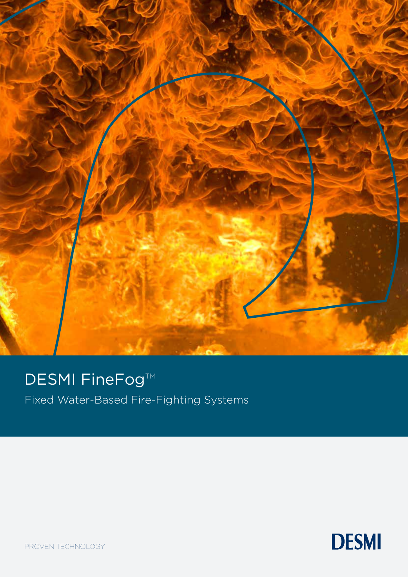

### DESMI FineFog™

Fixed Water-Based Fire-Fighting Systems



PROVEN TECHNOLOGY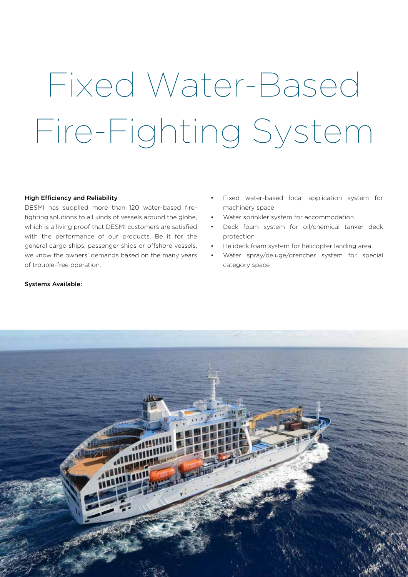# Fixed Water-Based Fire-Fighting System

#### High Efficiency and Reliability

DESMI has supplied more than 120 water-based firefighting solutions to all kinds of vessels around the globe, which is a living proof that DESMI customers are satisfied with the performance of our products. Be it for the general cargo ships, passenger ships or offshore vessels, we know the owners' demands based on the many years of trouble-free operation.

- Fixed water-based local application system for machinery space
- Water sprinkler system for accommodation
- Deck foam system for oil/chemical tanker deck protection
- Helideck foam system for helicopter landing area
- Water spray/deluge/drencher system for special category space

#### Systems Available:

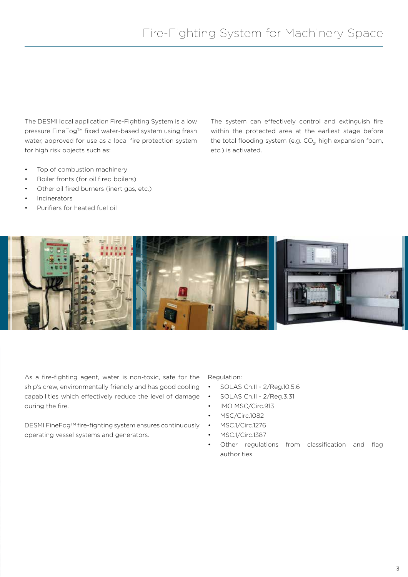The DESMI local application Fire-Fighting System is a low pressure FineFog™ fixed water-based system using fresh water, approved for use as a local fire protection system for high risk objects such as:

- Top of combustion machinery
- Boiler fronts (for oil fired boilers)
- Other oil fired burners (inert gas, etc.)
- **Incinerators**
- Purifiers for heated fuel oil

The system can effectively control and extinguish fire within the protected area at the earliest stage before the total flooding system (e.g.  $CO<sub>2</sub>$ , high expansion foam, etc.) is activated.



As a fire-fighting agent, water is non-toxic, safe for the ship's crew, environmentally friendly and has good cooling capabilities which effectively reduce the level of damage during the fire.

DESMI FineFog™ fire-fighting system ensures continuously operating vessel systems and generators.

Regulation:

- SOLAS Ch.II 2/Reg.10.5.6
- SOLAS Ch.II 2/Reg.3.31
- IMO MSC/Circ.913
- MSC/Circ.1082
- MSC.1/Circ.1276
- MSC.1/Circ.1387
- Other regulations from classification and flag authorities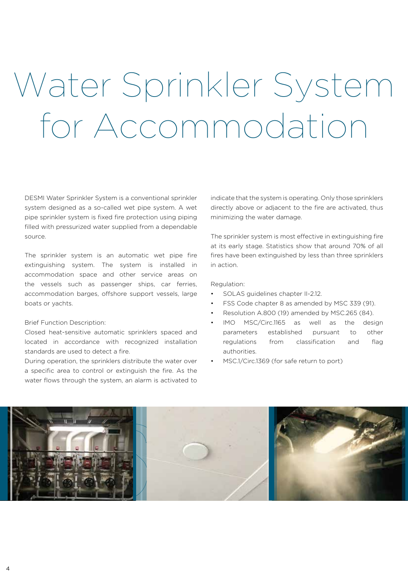### Water Sprinkler System for Accommodation

DESMI Water Sprinkler System is a conventional sprinkler system designed as a so-called wet pipe system. A wet pipe sprinkler system is fixed fire protection using piping filled with pressurized water supplied from a dependable source.

The sprinkler system is an automatic wet pipe fire extinguishing system. The system is installed in accommodation space and other service areas on the vessels such as passenger ships, car ferries, accommodation barges, offshore support vessels, large boats or yachts.

#### Brief Function Description:

Closed heat-sensitive automatic sprinklers spaced and located in accordance with recognized installation standards are used to detect a fire.

During operation, the sprinklers distribute the water over a specific area to control or extinguish the fire. As the water flows through the system, an alarm is activated to

indicate that the system is operating. Only those sprinklers directly above or adjacent to the fire are activated, thus minimizing the water damage.

The sprinkler system is most effective in extinguishing fire at its early stage. Statistics show that around 70% of all fires have been extinguished by less than three sprinklers in action.

#### Regulation:

- SOLAS guidelines chapter II-2.12.
- FSS Code chapter 8 as amended by MSC 339 (91).
- Resolution A.800 (19) amended by MSC.265 (84).
- IMO MSC/Circ.1165 as well as the design parameters established pursuant to other regulations from classification and flag authorities.
- MSC.1/Circ.1369 (for safe return to port)

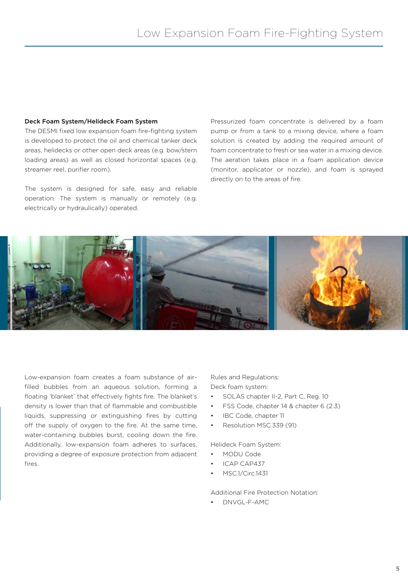#### Deck Foam System/Helideck Foam System

The DESMI fixed low expansion foam fire-fighting system is developed to protect the oil and chemical tanker deck areas, helidecks or other open deck areas (e.g. bow/stern loading areas) as well as closed horizontal spaces (e.g. streamer reel, purifier room).

The system is designed for safe, easy and reliable operation. The system is manually or remotely (e.g. electrically or hydraulically) operated.

Pressurized foam concentrate is delivered by a foam pump or from a tank to a mixing device, where a foam solution is created by adding the required amount of foam concentrate to fresh or sea water in a mixing device. The aeration takes place in a foam application device (monitor, applicator or nozzle), and foam is sprayed directly on to the areas of fire.



Low-expansion foam creates a foam substance of airfilled bubbles from an aqueous solution, forming a floating 'blanket' that effectively fights fire. The blanket's density is lower than that of flammable and combustible liquids, suppressing or extinguishing fires by cutting off the supply of oxygen to the fire. At the same time, water-containing bubbles burst, cooling down the fire. Additionally, low-expansion foam adheres to surfaces, providing a degree of exposure protection from adjacent fires.

Rules and Regulations: Deck foam system:

- SOLAS chapter II-2, Part C, Reg. 10
- FSS Code, chapter 14 & chapter 6 (2.3)
- IBC Code, chapter 11
- Resolution MSC.339 (91)

Helideck Foam System:

- MODU Code
- ICAP CAP437
- MSC.1/Circ.1431

Additional Fire Protection Notation:

• DNVGL-F-AMC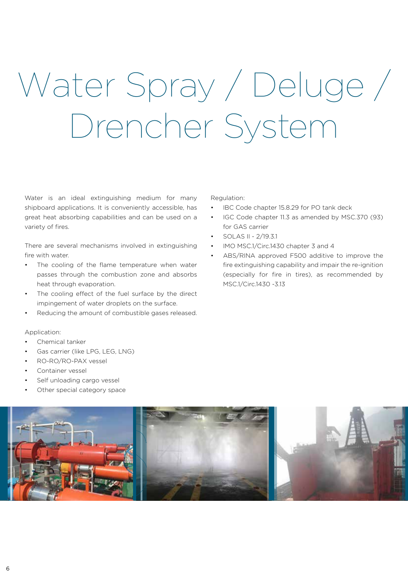## Water Spray / Deluge / Drencher System

Water is an ideal extinguishing medium for many shipboard applications. It is conveniently accessible, has great heat absorbing capabilities and can be used on a variety of fires.

There are several mechanisms involved in extinguishing fire with water.

- The cooling of the flame temperature when water passes through the combustion zone and absorbs heat through evaporation.
- The cooling effect of the fuel surface by the direct impingement of water droplets on the surface.
- Reducing the amount of combustible gases released.

Regulation:

- IBC Code chapter 15.8.29 for PO tank deck
- IGC Code chapter 11.3 as amended by MSC.370 (93) for GAS carrier
- SOLAS II 2/19.3.1
- IMO MSC.1/Circ.1430 chapter 3 and 4
- ABS/RINA approved F500 additive to improve the fire extinguishing capability and impair the re-ignition (especially for fire in tires), as recommended by MSC.1/Circ.1430 -3.13

#### Application:

- Chemical tanker
- Gas carrier (like LPG, LEG, LNG)
- RO-RO/RO-PAX vessel
- Container vessel
- Self unloading cargo vessel
- Other special category space

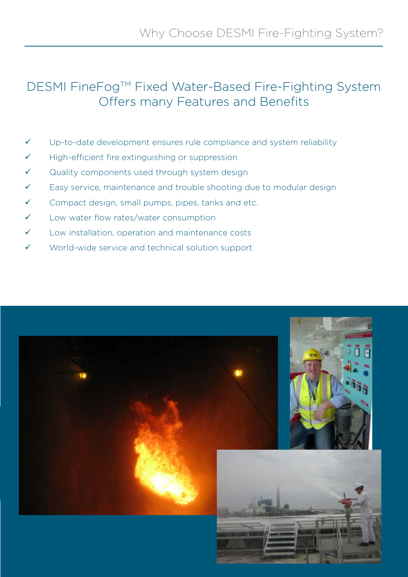### DESMI FineFog™ Fixed Water-Based Fire-Fighting System Offers many Features and Benefits

- $\checkmark$  Up-to-date development ensures rule compliance and system reliability
- $\checkmark$  High-efficient fire extinguishing or suppression
- $\checkmark$  Quality components used through system design
- $\checkmark$  Easy service, maintenance and trouble shooting due to modular design
- $\checkmark$  Compact design, small pumps, pipes, tanks and etc.
- $\checkmark$  Low water flow rates/water consumption
- $\checkmark$  Low installation, operation and maintenance costs
- World-wide service and technical solution support